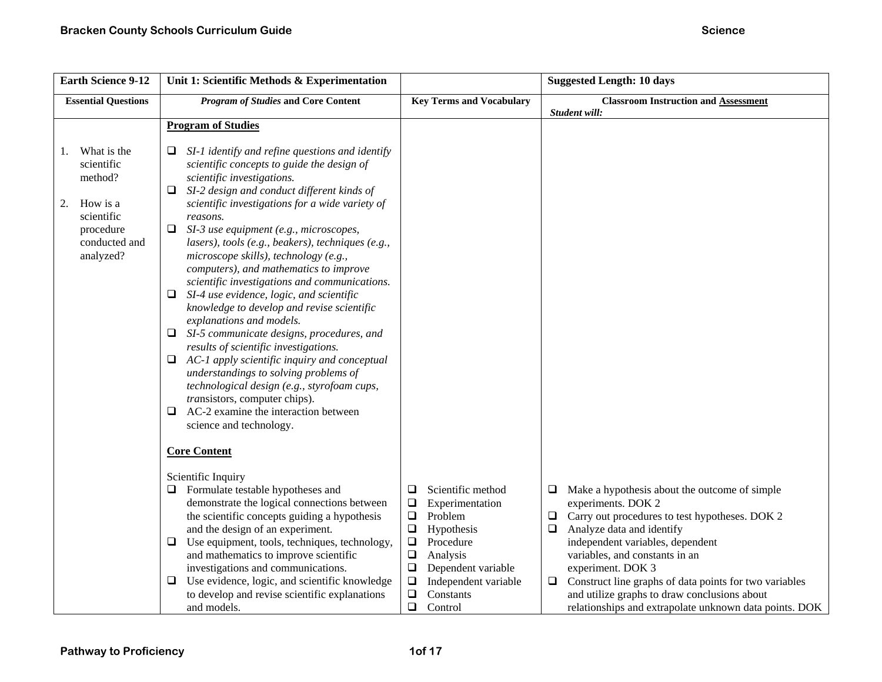| <b>Earth Science 9-12</b>                                                                                             | Unit 1: Scientific Methods & Experimentation                                                                                                                                                                                                                                                                                                                                                                                                                                                                                                                                                                                                                                                                                                                                                                                                                                                                                                                         |                                                                                                                                                                                                                                                             | <b>Suggested Length: 10 days</b>                                                                                                                                                                                                                                                                                                                                                                                                                       |
|-----------------------------------------------------------------------------------------------------------------------|----------------------------------------------------------------------------------------------------------------------------------------------------------------------------------------------------------------------------------------------------------------------------------------------------------------------------------------------------------------------------------------------------------------------------------------------------------------------------------------------------------------------------------------------------------------------------------------------------------------------------------------------------------------------------------------------------------------------------------------------------------------------------------------------------------------------------------------------------------------------------------------------------------------------------------------------------------------------|-------------------------------------------------------------------------------------------------------------------------------------------------------------------------------------------------------------------------------------------------------------|--------------------------------------------------------------------------------------------------------------------------------------------------------------------------------------------------------------------------------------------------------------------------------------------------------------------------------------------------------------------------------------------------------------------------------------------------------|
| <b>Essential Questions</b>                                                                                            | <b>Program of Studies and Core Content</b>                                                                                                                                                                                                                                                                                                                                                                                                                                                                                                                                                                                                                                                                                                                                                                                                                                                                                                                           | <b>Key Terms and Vocabulary</b>                                                                                                                                                                                                                             | <b>Classroom Instruction and Assessment</b><br>Student will:                                                                                                                                                                                                                                                                                                                                                                                           |
|                                                                                                                       | <b>Program of Studies</b>                                                                                                                                                                                                                                                                                                                                                                                                                                                                                                                                                                                                                                                                                                                                                                                                                                                                                                                                            |                                                                                                                                                                                                                                                             |                                                                                                                                                                                                                                                                                                                                                                                                                                                        |
| What is the<br>1.<br>scientific<br>method?<br>How is a<br>2.<br>scientific<br>procedure<br>conducted and<br>analyzed? | SI-1 identify and refine questions and identify<br>u<br>scientific concepts to guide the design of<br>scientific investigations.<br>SI-2 design and conduct different kinds of<br>❏.<br>scientific investigations for a wide variety of<br>reasons.<br>SI-3 use equipment (e.g., microscopes,<br>⊔<br>lasers), tools (e.g., beakers), techniques (e.g.,<br>microscope skills), technology (e.g.,<br>computers), and mathematics to improve<br>scientific investigations and communications.<br>SI-4 use evidence, logic, and scientific<br>knowledge to develop and revise scientific<br>explanations and models.<br>SI-5 communicate designs, procedures, and<br>⊔<br>results of scientific investigations.<br>$\Box$ AC-1 apply scientific inquiry and conceptual<br>understandings to solving problems of<br>technological design (e.g., styrofoam cups,<br>transistors, computer chips).<br>AC-2 examine the interaction between<br>⊔<br>science and technology. |                                                                                                                                                                                                                                                             |                                                                                                                                                                                                                                                                                                                                                                                                                                                        |
|                                                                                                                       | <b>Core Content</b>                                                                                                                                                                                                                                                                                                                                                                                                                                                                                                                                                                                                                                                                                                                                                                                                                                                                                                                                                  |                                                                                                                                                                                                                                                             |                                                                                                                                                                                                                                                                                                                                                                                                                                                        |
|                                                                                                                       | Scientific Inquiry<br>Formulate testable hypotheses and<br>⊔<br>demonstrate the logical connections between<br>the scientific concepts guiding a hypothesis<br>and the design of an experiment.<br>Use equipment, tools, techniques, technology,<br>⊔<br>and mathematics to improve scientific<br>investigations and communications.<br>Use evidence, logic, and scientific knowledge<br>⊔<br>to develop and revise scientific explanations<br>and models.                                                                                                                                                                                                                                                                                                                                                                                                                                                                                                           | Scientific method<br>❏<br>$\Box$<br>Experimentation<br>$\Box$<br>Problem<br>$\Box$<br>Hypothesis<br>$\Box$<br>Procedure<br>$\Box$<br>Analysis<br>$\Box$<br>Dependent variable<br>$\Box$<br>Independent variable<br>$\Box$<br>Constants<br>$\Box$<br>Control | $\Box$<br>Make a hypothesis about the outcome of simple<br>experiments. DOK 2<br>Carry out procedures to test hypotheses. DOK 2<br>$\Box$<br>Analyze data and identify<br>$\Box$<br>independent variables, dependent<br>variables, and constants in an<br>experiment. DOK 3<br>$\Box$ Construct line graphs of data points for two variables<br>and utilize graphs to draw conclusions about<br>relationships and extrapolate unknown data points. DOK |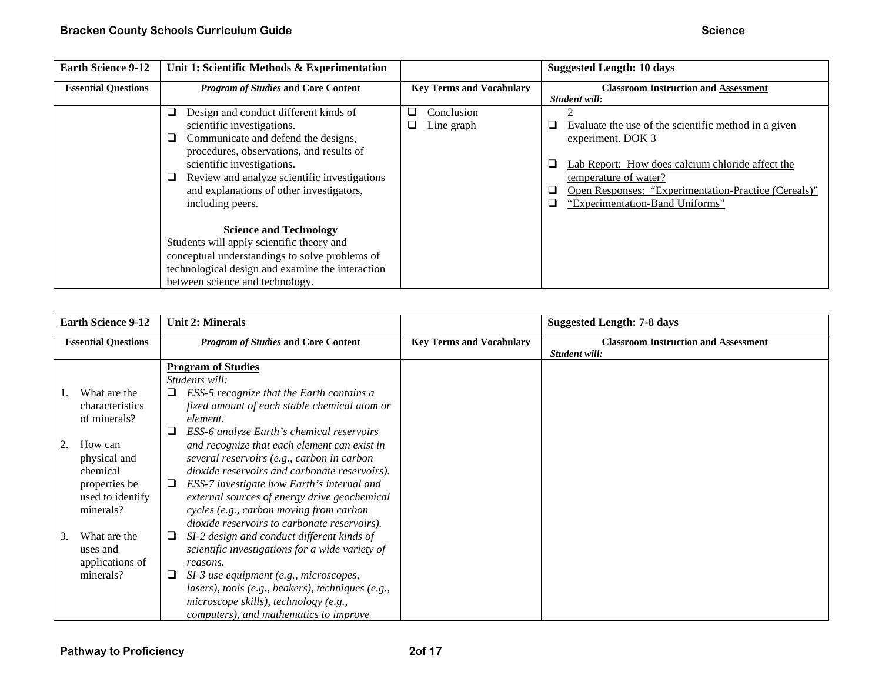| <b>Earth Science 9-12</b>  | Unit 1: Scientific Methods & Experimentation                                                                                                                                                                                                                                                                   |                                                         | <b>Suggested Length: 10 days</b>                                                                                                                                                                                                                                 |
|----------------------------|----------------------------------------------------------------------------------------------------------------------------------------------------------------------------------------------------------------------------------------------------------------------------------------------------------------|---------------------------------------------------------|------------------------------------------------------------------------------------------------------------------------------------------------------------------------------------------------------------------------------------------------------------------|
| <b>Essential Questions</b> | <b>Program of Studies and Core Content</b>                                                                                                                                                                                                                                                                     | <b>Key Terms and Vocabulary</b>                         | <b>Classroom Instruction and Assessment</b><br>Student will:                                                                                                                                                                                                     |
|                            | Q<br>Design and conduct different kinds of<br>scientific investigations.<br>Communicate and defend the designs,<br>procedures, observations, and results of<br>scientific investigations.<br>Review and analyze scientific investigations<br>u<br>and explanations of other investigators,<br>including peers. | Conclusion<br>$\mathcal{L}_{\mathcal{A}}$<br>Line graph | Evaluate the use of the scientific method in a given<br>experiment. DOK 3<br>Lab Report: How does calcium chloride affect the<br>⊔<br>temperature of water?<br>Open Responses: "Experimentation-Practice (Cereals)"<br>O<br>"Experimentation-Band Uniforms"<br>□ |
|                            | <b>Science and Technology</b><br>Students will apply scientific theory and<br>conceptual understandings to solve problems of<br>technological design and examine the interaction<br>between science and technology.                                                                                            |                                                         |                                                                                                                                                                                                                                                                  |

| <b>Earth Science 9-12</b>  |                                                      | <b>Unit 2: Minerals</b>                     |                                                                                                                                                                                                                                        |                                 | <b>Suggested Length: 7-8 days</b>                            |
|----------------------------|------------------------------------------------------|---------------------------------------------|----------------------------------------------------------------------------------------------------------------------------------------------------------------------------------------------------------------------------------------|---------------------------------|--------------------------------------------------------------|
| <b>Essential Questions</b> |                                                      |                                             | <b>Program of Studies and Core Content</b>                                                                                                                                                                                             | <b>Key Terms and Vocabulary</b> | <b>Classroom Instruction and Assessment</b><br>Student will: |
|                            |                                                      | <b>Program of Studies</b><br>Students will: |                                                                                                                                                                                                                                        |                                 |                                                              |
|                            | What are the<br>characteristics<br>of minerals?      | element.                                    | ESS-5 recognize that the Earth contains a<br>fixed amount of each stable chemical atom or                                                                                                                                              |                                 |                                                              |
|                            | How can<br>physical and<br>chemical<br>properties be | ⊔<br>⊔                                      | ESS-6 analyze Earth's chemical reservoirs<br>and recognize that each element can exist in<br>several reservoirs (e.g., carbon in carbon<br>dioxide reservoirs and carbonate reservoirs).<br>ESS-7 investigate how Earth's internal and |                                 |                                                              |
|                            | used to identify<br>minerals?                        |                                             | external sources of energy drive geochemical<br>cycles (e.g., carbon moving from carbon<br>dioxide reservoirs to carbonate reservoirs).                                                                                                |                                 |                                                              |
| 3.                         | What are the<br>uses and<br>applications of          | ⊔<br>reasons.                               | SI-2 design and conduct different kinds of<br>scientific investigations for a wide variety of                                                                                                                                          |                                 |                                                              |
|                            | minerals?                                            | ⊔<br>microscope skills), technology (e.g.,  | SI-3 use equipment (e.g., microscopes,<br>lasers), tools (e.g., beakers), techniques (e.g.,<br>computers), and mathematics to improve                                                                                                  |                                 |                                                              |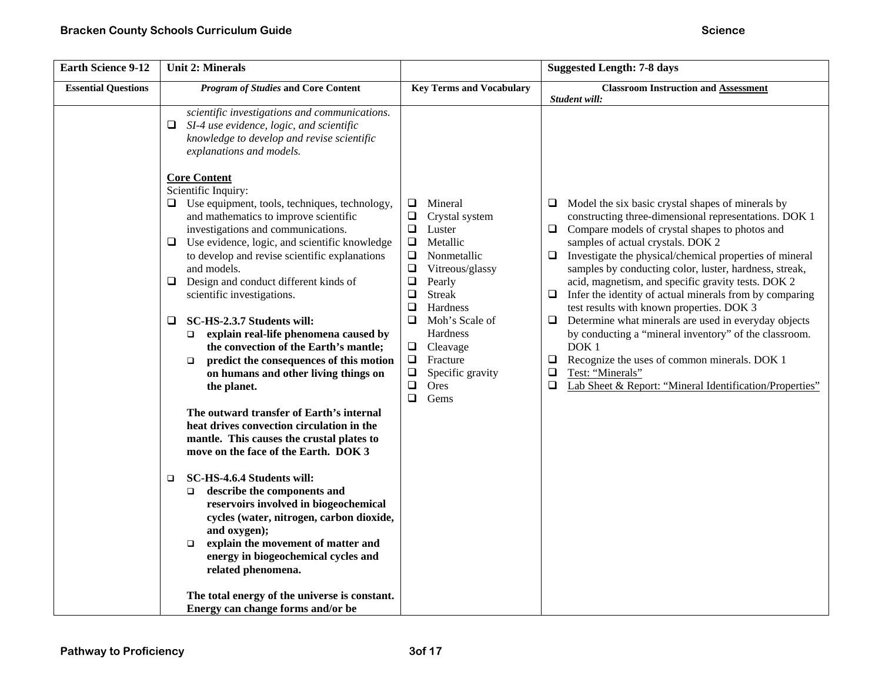| <b>Earth Science 9-12</b>  | <b>Unit 2: Minerals</b>                                                                                                                                                                                                                                                                                                                                                                                                                                                                                                                                                                                                                                                                                                                                                                                                                                                                                                                                                                                                                                                                                                                                                                                                                                         |                                                                                                                                                                                                                                                                                                                                                                | <b>Suggested Length: 7-8 days</b>                                                                                                                                                                                                                                                                                                                                                                                                                                                                                                                                                                                                                                                                                                                                                                                             |
|----------------------------|-----------------------------------------------------------------------------------------------------------------------------------------------------------------------------------------------------------------------------------------------------------------------------------------------------------------------------------------------------------------------------------------------------------------------------------------------------------------------------------------------------------------------------------------------------------------------------------------------------------------------------------------------------------------------------------------------------------------------------------------------------------------------------------------------------------------------------------------------------------------------------------------------------------------------------------------------------------------------------------------------------------------------------------------------------------------------------------------------------------------------------------------------------------------------------------------------------------------------------------------------------------------|----------------------------------------------------------------------------------------------------------------------------------------------------------------------------------------------------------------------------------------------------------------------------------------------------------------------------------------------------------------|-------------------------------------------------------------------------------------------------------------------------------------------------------------------------------------------------------------------------------------------------------------------------------------------------------------------------------------------------------------------------------------------------------------------------------------------------------------------------------------------------------------------------------------------------------------------------------------------------------------------------------------------------------------------------------------------------------------------------------------------------------------------------------------------------------------------------------|
| <b>Essential Questions</b> | <b>Program of Studies and Core Content</b>                                                                                                                                                                                                                                                                                                                                                                                                                                                                                                                                                                                                                                                                                                                                                                                                                                                                                                                                                                                                                                                                                                                                                                                                                      | <b>Key Terms and Vocabulary</b>                                                                                                                                                                                                                                                                                                                                | <b>Classroom Instruction and Assessment</b>                                                                                                                                                                                                                                                                                                                                                                                                                                                                                                                                                                                                                                                                                                                                                                                   |
|                            | scientific investigations and communications.<br>SI-4 use evidence, logic, and scientific<br>knowledge to develop and revise scientific<br>explanations and models.<br><b>Core Content</b><br>Scientific Inquiry:<br>Use equipment, tools, techniques, technology,<br>Q.<br>and mathematics to improve scientific<br>investigations and communications.<br>Use evidence, logic, and scientific knowledge<br>□<br>to develop and revise scientific explanations<br>and models.<br>Design and conduct different kinds of<br>$\Box$<br>scientific investigations.<br>SC-HS-2.3.7 Students will:<br>□<br>explain real-life phenomena caused by<br>$\Box$<br>the convection of the Earth's mantle;<br>predict the consequences of this motion<br>$\Box$<br>on humans and other living things on<br>the planet.<br>The outward transfer of Earth's internal<br>heat drives convection circulation in the<br>mantle. This causes the crustal plates to<br>move on the face of the Earth. DOK 3<br>SC-HS-4.6.4 Students will:<br>$\Box$<br>describe the components and<br>$\Box$<br>reservoirs involved in biogeochemical<br>cycles (water, nitrogen, carbon dioxide,<br>and oxygen);<br>explain the movement of matter and<br>□<br>energy in biogeochemical cycles and | Mineral<br>□<br>$\Box$<br>Crystal system<br>Luster<br>❏<br>$\Box$<br>Metallic<br>$\Box$<br>Nonmetallic<br>$\Box$<br>Vitreous/glassy<br>$\Box$<br>Pearly<br>$\Box$<br><b>Streak</b><br>Hardness<br>$\Box$<br>$\Box$<br>Moh's Scale of<br>Hardness<br>$\Box$<br>Cleavage<br>$\Box$<br>Fracture<br>$\Box$<br>Specific gravity<br>$\Box$<br>Ores<br>$\Box$<br>Gems | Student will:<br>Model the six basic crystal shapes of minerals by<br>⊔<br>constructing three-dimensional representations. DOK 1<br>Compare models of crystal shapes to photos and<br>❏<br>samples of actual crystals. DOK 2<br>$\Box$<br>Investigate the physical/chemical properties of mineral<br>samples by conducting color, luster, hardness, streak,<br>acid, magnetism, and specific gravity tests. DOK 2<br>Infer the identity of actual minerals from by comparing<br>❏<br>test results with known properties. DOK 3<br>Determine what minerals are used in everyday objects<br>u.<br>by conducting a "mineral inventory" of the classroom.<br>DOK <sub>1</sub><br>Recognize the uses of common minerals. DOK 1<br>Q.<br>Test: "Minerals"<br>$\Box$<br>Lab Sheet & Report: "Mineral Identification/Properties"<br>❏ |
|                            | related phenomena.<br>The total energy of the universe is constant.<br>Energy can change forms and/or be                                                                                                                                                                                                                                                                                                                                                                                                                                                                                                                                                                                                                                                                                                                                                                                                                                                                                                                                                                                                                                                                                                                                                        |                                                                                                                                                                                                                                                                                                                                                                |                                                                                                                                                                                                                                                                                                                                                                                                                                                                                                                                                                                                                                                                                                                                                                                                                               |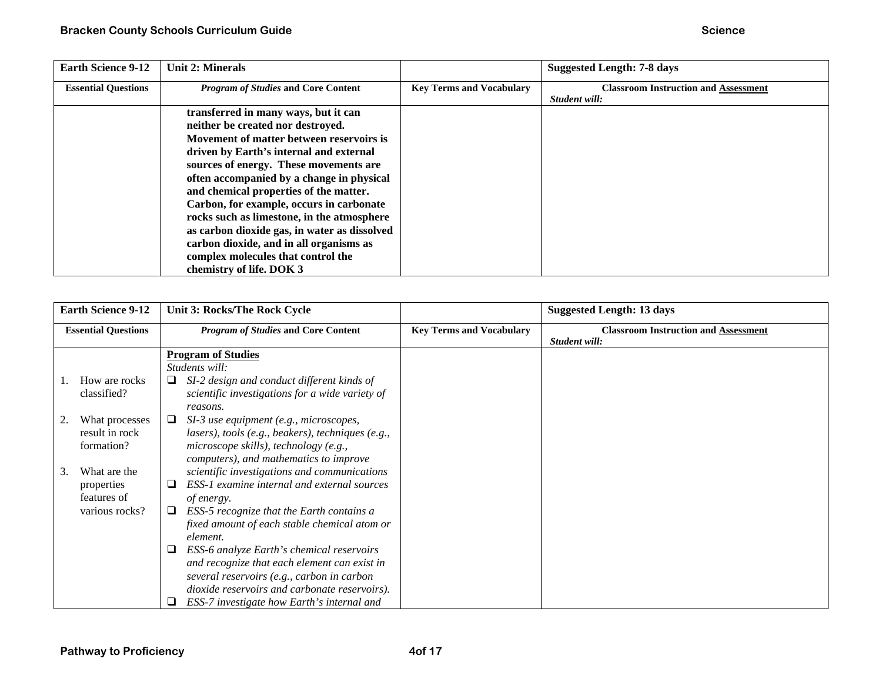| <b>Earth Science 9-12</b>  | <b>Unit 2: Minerals</b>                                                                                                                                                                                                                                                                                                                                                                                                                                                                                                                                  |                                 | <b>Suggested Length: 7-8 days</b>                            |
|----------------------------|----------------------------------------------------------------------------------------------------------------------------------------------------------------------------------------------------------------------------------------------------------------------------------------------------------------------------------------------------------------------------------------------------------------------------------------------------------------------------------------------------------------------------------------------------------|---------------------------------|--------------------------------------------------------------|
| <b>Essential Questions</b> | <b>Program of Studies and Core Content</b>                                                                                                                                                                                                                                                                                                                                                                                                                                                                                                               | <b>Key Terms and Vocabulary</b> | <b>Classroom Instruction and Assessment</b><br>Student will: |
|                            | transferred in many ways, but it can<br>neither be created nor destroyed.<br>Movement of matter between reservoirs is<br>driven by Earth's internal and external<br>sources of energy. These movements are<br>often accompanied by a change in physical<br>and chemical properties of the matter.<br>Carbon, for example, occurs in carbonate<br>rocks such as limestone, in the atmosphere<br>as carbon dioxide gas, in water as dissolved<br>carbon dioxide, and in all organisms as<br>complex molecules that control the<br>chemistry of life. DOK 3 |                                 |                                                              |

| <b>Earth Science 9-12</b>  | Unit 3: Rocks/The Rock Cycle                                |                                 | <b>Suggested Length: 13 days</b>                             |  |
|----------------------------|-------------------------------------------------------------|---------------------------------|--------------------------------------------------------------|--|
| <b>Essential Questions</b> | <b>Program of Studies and Core Content</b>                  | <b>Key Terms and Vocabulary</b> | <b>Classroom Instruction and Assessment</b><br>Student will: |  |
|                            | <b>Program of Studies</b>                                   |                                 |                                                              |  |
|                            | Students will:                                              |                                 |                                                              |  |
| How are rocks              | SI-2 design and conduct different kinds of<br>⊔             |                                 |                                                              |  |
| classified?                | scientific investigations for a wide variety of<br>reasons. |                                 |                                                              |  |
| What processes             | SI-3 use equipment (e.g., microscopes,                      |                                 |                                                              |  |
| result in rock             | lasers), tools (e.g., beakers), techniques (e.g.,           |                                 |                                                              |  |
| formation?                 | microscope skills), technology (e.g.,                       |                                 |                                                              |  |
|                            | computers), and mathematics to improve                      |                                 |                                                              |  |
| What are the<br>3.         | scientific investigations and communications                |                                 |                                                              |  |
| properties                 | ESS-1 examine internal and external sources<br>⊔            |                                 |                                                              |  |
| features of                | of energy.                                                  |                                 |                                                              |  |
| various rocks?             | ESS-5 recognize that the Earth contains a<br>⊔              |                                 |                                                              |  |
|                            | fixed amount of each stable chemical atom or                |                                 |                                                              |  |
|                            | element.                                                    |                                 |                                                              |  |
|                            | ESS-6 analyze Earth's chemical reservoirs                   |                                 |                                                              |  |
|                            | and recognize that each element can exist in                |                                 |                                                              |  |
|                            | several reservoirs (e.g., carbon in carbon                  |                                 |                                                              |  |
|                            | dioxide reservoirs and carbonate reservoirs).               |                                 |                                                              |  |
|                            | ESS-7 investigate how Earth's internal and                  |                                 |                                                              |  |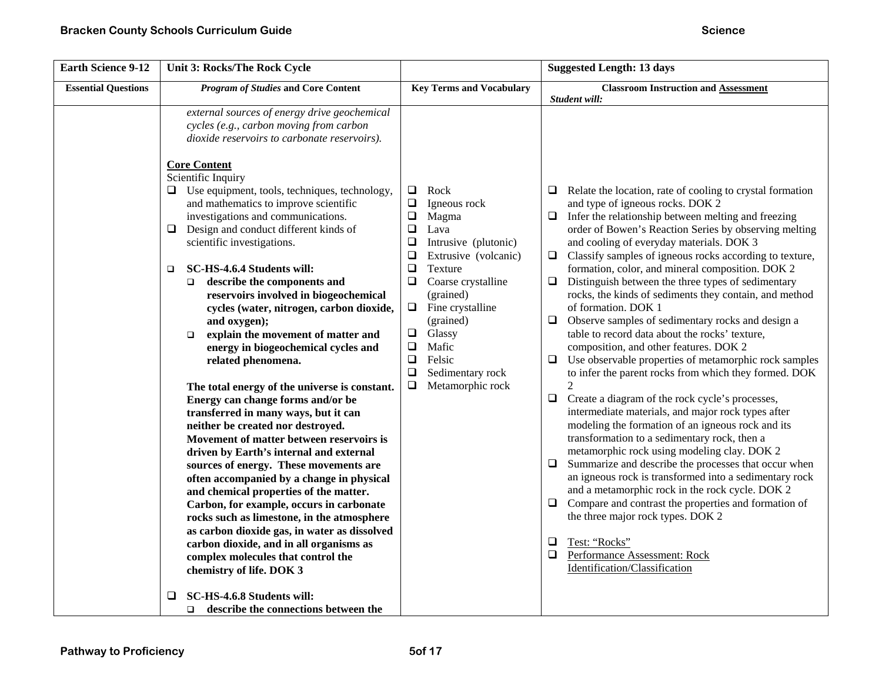| <b>Classroom Instruction and Assessment</b><br>Student will:                                                                                                                                                                                                                                                                                                                                                                                                                                                                                                                                                                                                                                                                                                                                                                                                                                                                                                                                                                                                                                                                                                                                                                                                                                                                                                                                                                                             |
|----------------------------------------------------------------------------------------------------------------------------------------------------------------------------------------------------------------------------------------------------------------------------------------------------------------------------------------------------------------------------------------------------------------------------------------------------------------------------------------------------------------------------------------------------------------------------------------------------------------------------------------------------------------------------------------------------------------------------------------------------------------------------------------------------------------------------------------------------------------------------------------------------------------------------------------------------------------------------------------------------------------------------------------------------------------------------------------------------------------------------------------------------------------------------------------------------------------------------------------------------------------------------------------------------------------------------------------------------------------------------------------------------------------------------------------------------------|
|                                                                                                                                                                                                                                                                                                                                                                                                                                                                                                                                                                                                                                                                                                                                                                                                                                                                                                                                                                                                                                                                                                                                                                                                                                                                                                                                                                                                                                                          |
| $\Box$ Relate the location, rate of cooling to crystal formation<br>and type of igneous rocks. DOK 2<br>Infer the relationship between melting and freezing<br>order of Bowen's Reaction Series by observing melting<br>and cooling of everyday materials. DOK 3<br>$\Box$ Classify samples of igneous rocks according to texture,<br>formation, color, and mineral composition. DOK 2<br>Distinguish between the three types of sedimentary<br>rocks, the kinds of sediments they contain, and method<br>of formation. DOK 1<br>Observe samples of sedimentary rocks and design a<br>table to record data about the rocks' texture,<br>composition, and other features. DOK 2<br>$\Box$ Use observable properties of metamorphic rock samples<br>to infer the parent rocks from which they formed. DOK<br>$\overline{2}$<br>Create a diagram of the rock cycle's processes,<br>intermediate materials, and major rock types after<br>modeling the formation of an igneous rock and its<br>transformation to a sedimentary rock, then a<br>metamorphic rock using modeling clay. DOK 2<br>$\Box$ Summarize and describe the processes that occur when<br>an igneous rock is transformed into a sedimentary rock<br>and a metamorphic rock in the rock cycle. DOK 2<br>$\Box$ Compare and contrast the properties and formation of<br>the three major rock types. DOK 2<br>Test: "Rocks"<br>Performance Assessment: Rock<br>Identification/Classification |
|                                                                                                                                                                                                                                                                                                                                                                                                                                                                                                                                                                                                                                                                                                                                                                                                                                                                                                                                                                                                                                                                                                                                                                                                                                                                                                                                                                                                                                                          |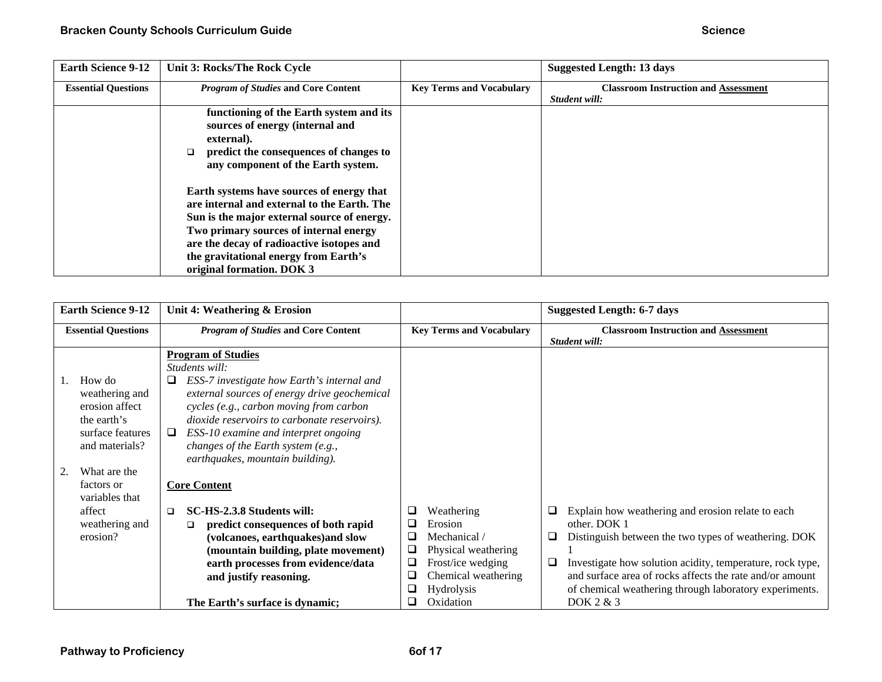| <b>Earth Science 9-12</b>  | Unit 3: Rocks/The Rock Cycle                                                                                                                                                                                                                                                                         |                                 | <b>Suggested Length: 13 days</b>                             |
|----------------------------|------------------------------------------------------------------------------------------------------------------------------------------------------------------------------------------------------------------------------------------------------------------------------------------------------|---------------------------------|--------------------------------------------------------------|
| <b>Essential Questions</b> | <b>Program of Studies and Core Content</b>                                                                                                                                                                                                                                                           | <b>Key Terms and Vocabulary</b> | <b>Classroom Instruction and Assessment</b><br>Student will: |
|                            | functioning of the Earth system and its<br>sources of energy (internal and<br>external).<br>predict the consequences of changes to<br>$\Box$<br>any component of the Earth system.                                                                                                                   |                                 |                                                              |
|                            | Earth systems have sources of energy that<br>are internal and external to the Earth. The<br>Sun is the major external source of energy.<br>Two primary sources of internal energy<br>are the decay of radioactive isotopes and<br>the gravitational energy from Earth's<br>original formation. DOK 3 |                                 |                                                              |

| <b>Earth Science 9-12</b>                                                                       | Unit 4: Weathering & Erosion                                                                                                                                                                                                                                                                                                      |                                                                                                                                                                       | <b>Suggested Length: 6-7 days</b>                                                                                                                                                                                                                                                                                           |
|-------------------------------------------------------------------------------------------------|-----------------------------------------------------------------------------------------------------------------------------------------------------------------------------------------------------------------------------------------------------------------------------------------------------------------------------------|-----------------------------------------------------------------------------------------------------------------------------------------------------------------------|-----------------------------------------------------------------------------------------------------------------------------------------------------------------------------------------------------------------------------------------------------------------------------------------------------------------------------|
| <b>Essential Questions</b>                                                                      | <b>Program of Studies and Core Content</b>                                                                                                                                                                                                                                                                                        | <b>Key Terms and Vocabulary</b>                                                                                                                                       | <b>Classroom Instruction and Assessment</b><br>Student will:                                                                                                                                                                                                                                                                |
| How do<br>weathering and<br>erosion affect<br>the earth's<br>surface features<br>and materials? | <b>Program of Studies</b><br>Students will:<br>ESS-7 investigate how Earth's internal and<br>⊔<br>external sources of energy drive geochemical<br>cycles (e.g., carbon moving from carbon<br>dioxide reservoirs to carbonate reservoirs).<br>$\Box$<br>ESS-10 examine and interpret ongoing<br>changes of the Earth system (e.g., |                                                                                                                                                                       |                                                                                                                                                                                                                                                                                                                             |
| What are the<br>factors or<br>variables that                                                    | earthquakes, mountain building).<br><b>Core Content</b>                                                                                                                                                                                                                                                                           |                                                                                                                                                                       |                                                                                                                                                                                                                                                                                                                             |
| affect<br>weathering and<br>erosion?                                                            | SC-HS-2.3.8 Students will:<br>$\Box$<br>predict consequences of both rapid<br>❏<br>(volcanoes, earthquakes) and slow<br>(mountain building, plate movement)<br>earth processes from evidence/data<br>and justify reasoning.                                                                                                       | Weathering<br>⊔<br>❏<br>Erosion<br>Mechanical /<br>$\Box$<br>Physical weathering<br>❏<br>Frost/ice wedging<br>⊔<br>Chemical weathering<br>❏<br>❏<br><b>Hydrolysis</b> | Explain how weathering and erosion relate to each<br>⊔<br>other. DOK 1<br>Distinguish between the two types of weathering. DOK<br>⊔<br>Investigate how solution acidity, temperature, rock type,<br>❏<br>and surface area of rocks affects the rate and/or amount<br>of chemical weathering through laboratory experiments. |
|                                                                                                 | The Earth's surface is dynamic;                                                                                                                                                                                                                                                                                                   | Oxidation<br>❏                                                                                                                                                        | DOK 2 & 3                                                                                                                                                                                                                                                                                                                   |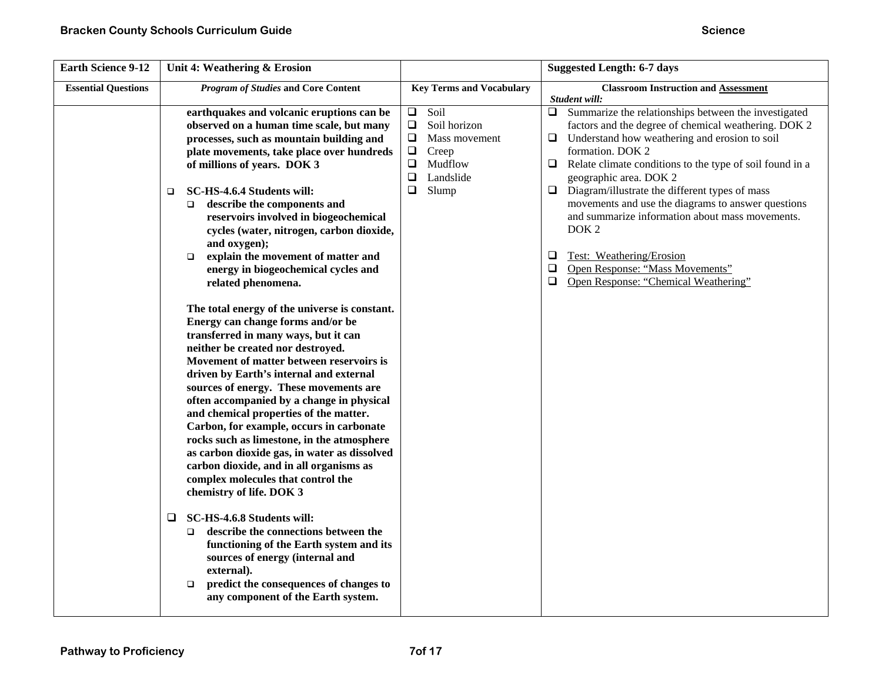| <b>Key Terms and Vocabulary</b><br><b>Classroom Instruction and Assessment</b>                                                                                                                                                                                                                                                                                                                                                                                                                                                                                                                                                                                                                                                                                                                                                                                                                                                                                                                                                                                                                                                                                                                                                                                                                                                                                                                                                                                                                                                                                                                                                                                                                                                                                                                                                                                                                                                                                                                                                                                                                                                                                                                                         |                                            | <b>Earth Science 9-12</b><br>Unit 4: Weathering & Erosion |
|------------------------------------------------------------------------------------------------------------------------------------------------------------------------------------------------------------------------------------------------------------------------------------------------------------------------------------------------------------------------------------------------------------------------------------------------------------------------------------------------------------------------------------------------------------------------------------------------------------------------------------------------------------------------------------------------------------------------------------------------------------------------------------------------------------------------------------------------------------------------------------------------------------------------------------------------------------------------------------------------------------------------------------------------------------------------------------------------------------------------------------------------------------------------------------------------------------------------------------------------------------------------------------------------------------------------------------------------------------------------------------------------------------------------------------------------------------------------------------------------------------------------------------------------------------------------------------------------------------------------------------------------------------------------------------------------------------------------------------------------------------------------------------------------------------------------------------------------------------------------------------------------------------------------------------------------------------------------------------------------------------------------------------------------------------------------------------------------------------------------------------------------------------------------------------------------------------------------|--------------------------------------------|-----------------------------------------------------------|
| Student will:                                                                                                                                                                                                                                                                                                                                                                                                                                                                                                                                                                                                                                                                                                                                                                                                                                                                                                                                                                                                                                                                                                                                                                                                                                                                                                                                                                                                                                                                                                                                                                                                                                                                                                                                                                                                                                                                                                                                                                                                                                                                                                                                                                                                          | <b>Program of Studies and Core Content</b> | <b>Essential Questions</b>                                |
| Soil<br>$\Box$<br>$\Box$ Summarize the relationships between the investigated<br>earthquakes and volcanic eruptions can be<br>$\Box$<br>Soil horizon<br>factors and the degree of chemical weathering. DOK 2<br>observed on a human time scale, but many<br>$\Box$<br>processes, such as mountain building and<br>Understand how weathering and erosion to soil<br>Mass movement<br>❏<br>$\Box$<br>Creep<br>formation. DOK 2<br>plate movements, take place over hundreds<br>$\Box$<br>Mudflow<br>Relate climate conditions to the type of soil found in a<br>of millions of years. DOK 3<br>⊔<br>$\Box$<br>Landslide<br>geographic area. DOK 2<br>$\Box$<br>Diagram/illustrate the different types of mass<br>Slump<br>$\Box$<br>SC-HS-4.6.4 Students will:<br>❏<br>movements and use the diagrams to answer questions<br>describe the components and<br>$\Box$<br>and summarize information about mass movements.<br>reservoirs involved in biogeochemical<br>DOK <sub>2</sub><br>cycles (water, nitrogen, carbon dioxide,<br>and oxygen);<br>❏<br>Test: Weathering/Erosion<br>explain the movement of matter and<br>$\Box$<br>Open Response: "Mass Movements"<br>$\Box$<br>energy in biogeochemical cycles and<br>$\Box$<br>Open Response: "Chemical Weathering"<br>related phenomena.<br>The total energy of the universe is constant.<br>Energy can change forms and/or be<br>transferred in many ways, but it can<br>neither be created nor destroyed.<br>Movement of matter between reservoirs is<br>driven by Earth's internal and external<br>sources of energy. These movements are<br>often accompanied by a change in physical<br>and chemical properties of the matter.<br>Carbon, for example, occurs in carbonate<br>rocks such as limestone, in the atmosphere<br>as carbon dioxide gas, in water as dissolved<br>carbon dioxide, and in all organisms as<br>complex molecules that control the<br>chemistry of life. DOK 3<br>SC-HS-4.6.8 Students will:<br>❏<br>describe the connections between the<br>$\Box$<br>functioning of the Earth system and its<br>sources of energy (internal and<br>external).<br>predict the consequences of changes to<br>$\Box$<br>any component of the Earth system. |                                            |                                                           |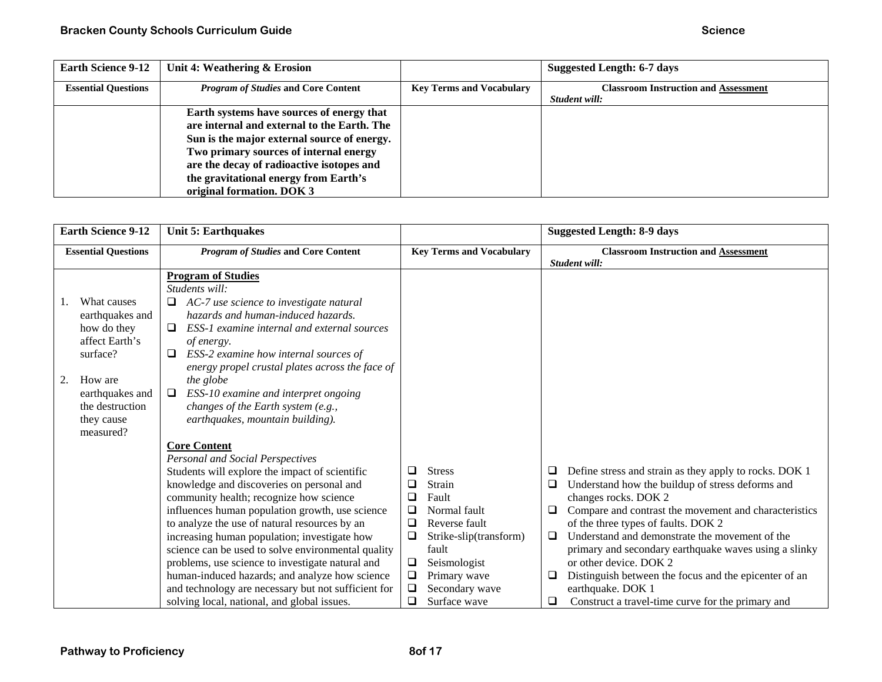| <b>Earth Science 9-12</b>  | Unit 4: Weathering & Erosion                |                                 | <b>Suggested Length: 6-7 days</b>           |
|----------------------------|---------------------------------------------|---------------------------------|---------------------------------------------|
| <b>Essential Questions</b> | <i>Program of Studies</i> and Core Content  | <b>Key Terms and Vocabulary</b> | <b>Classroom Instruction and Assessment</b> |
|                            |                                             |                                 | Student will:                               |
|                            | Earth systems have sources of energy that   |                                 |                                             |
|                            | are internal and external to the Earth. The |                                 |                                             |
|                            | Sun is the major external source of energy. |                                 |                                             |
|                            | Two primary sources of internal energy      |                                 |                                             |
|                            | are the decay of radioactive isotopes and   |                                 |                                             |
|                            | the gravitational energy from Earth's       |                                 |                                             |
|                            | original formation. DOK 3                   |                                 |                                             |

| <b>Earth Science 9-12</b><br><b>Unit 5: Earthquakes</b>                                                                                                                                                                                                                                                                                                                                                                                                                                                                                                                                                                                                                                                                                                                                                                                                                                                                                                                                                                                                                                                                                                                                                                                                                                                                                                                                                                                                                                                       | <b>Suggested Length: 8-9 days</b>                                                                                                                                                                                                                                                                                                                                                                                                                                                                                                             |
|---------------------------------------------------------------------------------------------------------------------------------------------------------------------------------------------------------------------------------------------------------------------------------------------------------------------------------------------------------------------------------------------------------------------------------------------------------------------------------------------------------------------------------------------------------------------------------------------------------------------------------------------------------------------------------------------------------------------------------------------------------------------------------------------------------------------------------------------------------------------------------------------------------------------------------------------------------------------------------------------------------------------------------------------------------------------------------------------------------------------------------------------------------------------------------------------------------------------------------------------------------------------------------------------------------------------------------------------------------------------------------------------------------------------------------------------------------------------------------------------------------------|-----------------------------------------------------------------------------------------------------------------------------------------------------------------------------------------------------------------------------------------------------------------------------------------------------------------------------------------------------------------------------------------------------------------------------------------------------------------------------------------------------------------------------------------------|
| <b>Program of Studies and Core Content</b><br><b>Key Terms and Vocabulary</b><br><b>Essential Questions</b>                                                                                                                                                                                                                                                                                                                                                                                                                                                                                                                                                                                                                                                                                                                                                                                                                                                                                                                                                                                                                                                                                                                                                                                                                                                                                                                                                                                                   | <b>Classroom Instruction and Assessment</b><br>Student will:                                                                                                                                                                                                                                                                                                                                                                                                                                                                                  |
| <b>Program of Studies</b><br>Students will:<br>$\Box$<br>AC-7 use science to investigate natural<br>What causes<br>hazards and human-induced hazards.<br>earthquakes and<br>how do they<br>ESS-1 examine internal and external sources<br>$\Box$<br>affect Earth's<br>of energy.<br>ESS-2 examine how internal sources of<br>surface?<br>$\Box$<br>energy propel crustal plates across the face of<br>How are<br>the globe<br>2.<br>earthquakes and<br>ESS-10 examine and interpret ongoing<br>□<br>changes of the Earth system (e.g.,<br>the destruction<br>earthquakes, mountain building).<br>they cause<br>measured?<br><b>Core Content</b><br>Personal and Social Perspectives<br>Students will explore the impact of scientific<br><b>Stress</b><br>❏<br>knowledge and discoveries on personal and<br>Strain<br>$\Box$<br>community health; recognize how science<br>$\Box$<br>Fault<br>Normal fault<br>influences human population growth, use science<br>$\Box$<br>to analyze the use of natural resources by an<br>Reverse fault<br>❏<br>increasing human population; investigate how<br>❏<br>Strike-slip(transform)<br>science can be used to solve environmental quality<br>fault<br>problems, use science to investigate natural and<br>Seismologist<br>⊔<br>$\Box$<br>human-induced hazards; and analyze how science<br>Primary wave<br>$\Box$<br>Secondary wave<br>and technology are necessary but not sufficient for<br>$\Box$<br>Surface wave<br>solving local, national, and global issues. | Define stress and strain as they apply to rocks. DOK 1<br>⊔<br>Understand how the buildup of stress deforms and<br>⊔<br>changes rocks. DOK 2<br>Compare and contrast the movement and characteristics<br>⊔<br>of the three types of faults. DOK 2<br>Understand and demonstrate the movement of the<br>$\Box$<br>primary and secondary earthquake waves using a slinky<br>or other device. DOK 2<br>Distinguish between the focus and the epicenter of an<br>⊔<br>earthquake. DOK 1<br>⊔<br>Construct a travel-time curve for the primary and |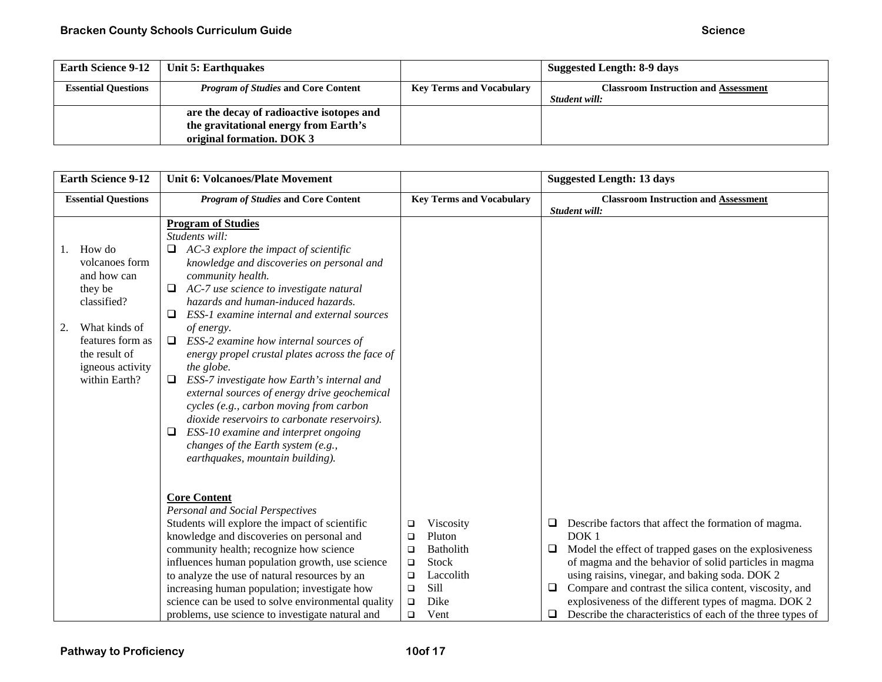| <b>Earth Science 9-12</b>  | Unit 5: Earthquakes                        |                                 | <b>Suggested Length: 8-9 days</b>           |
|----------------------------|--------------------------------------------|---------------------------------|---------------------------------------------|
| <b>Essential Questions</b> | <i>Program of Studies</i> and Core Content | <b>Key Terms and Vocabulary</b> | <b>Classroom Instruction and Assessment</b> |
|                            |                                            |                                 | Student will:                               |
|                            | are the decay of radioactive isotopes and  |                                 |                                             |
|                            | the gravitational energy from Earth's      |                                 |                                             |
|                            | original formation. DOK 3                  |                                 |                                             |

| <b>Earth Science 9-12</b>                                                                                                                                          | <b>Unit 6: Volcanoes/Plate Movement</b>                                                                                                                                                                                                                                                                                                                                                                                                                                                                                                                                                                                                                                                                                                            |                                                                                                                                                   | <b>Suggested Length: 13 days</b>                                                                                                                                                                                                                                                                                                                                                                                                                          |
|--------------------------------------------------------------------------------------------------------------------------------------------------------------------|----------------------------------------------------------------------------------------------------------------------------------------------------------------------------------------------------------------------------------------------------------------------------------------------------------------------------------------------------------------------------------------------------------------------------------------------------------------------------------------------------------------------------------------------------------------------------------------------------------------------------------------------------------------------------------------------------------------------------------------------------|---------------------------------------------------------------------------------------------------------------------------------------------------|-----------------------------------------------------------------------------------------------------------------------------------------------------------------------------------------------------------------------------------------------------------------------------------------------------------------------------------------------------------------------------------------------------------------------------------------------------------|
| <b>Essential Questions</b>                                                                                                                                         | <b>Program of Studies and Core Content</b>                                                                                                                                                                                                                                                                                                                                                                                                                                                                                                                                                                                                                                                                                                         | <b>Key Terms and Vocabulary</b>                                                                                                                   | <b>Classroom Instruction and Assessment</b><br>Student will:                                                                                                                                                                                                                                                                                                                                                                                              |
| How do<br>volcanoes form<br>and how can<br>they be<br>classified?<br>What kinds of<br>2.<br>features form as<br>the result of<br>igneous activity<br>within Earth? | <b>Program of Studies</b><br>Students will:<br>AC-3 explore the impact of scientific<br>knowledge and discoveries on personal and<br>community health.<br>AC-7 use science to investigate natural<br>hazards and human-induced hazards.<br>ESS-1 examine internal and external sources<br>$\Box$<br>of energy.<br>ESS-2 examine how internal sources of<br>$\Box$<br>energy propel crustal plates across the face of<br>the globe.<br>ESS-7 investigate how Earth's internal and<br>external sources of energy drive geochemical<br>cycles (e.g., carbon moving from carbon<br>dioxide reservoirs to carbonate reservoirs).<br>ESS-10 examine and interpret ongoing<br>⊔<br>changes of the Earth system (e.g.,<br>earthquakes, mountain building). |                                                                                                                                                   |                                                                                                                                                                                                                                                                                                                                                                                                                                                           |
|                                                                                                                                                                    | <b>Core Content</b><br>Personal and Social Perspectives<br>Students will explore the impact of scientific<br>knowledge and discoveries on personal and<br>community health; recognize how science<br>influences human population growth, use science<br>to analyze the use of natural resources by an<br>increasing human population; investigate how<br>science can be used to solve environmental quality<br>problems, use science to investigate natural and                                                                                                                                                                                                                                                                                    | Viscosity<br>❏<br>Pluton<br>□<br><b>Batholith</b><br>□<br>Stock<br>$\Box$<br>Laccolith<br>$\Box$<br>Sill<br>$\Box$<br>Dike<br>$\Box$<br>Vent<br>□ | Describe factors that affect the formation of magma.<br>u.<br>DOK <sub>1</sub><br>Model the effect of trapped gases on the explosiveness<br>Q.<br>of magma and the behavior of solid particles in magma<br>using raisins, vinegar, and baking soda. DOK 2<br>Compare and contrast the silica content, viscosity, and<br>$\Box$<br>explosiveness of the different types of magma. DOK 2<br>Describe the characteristics of each of the three types of<br>□ |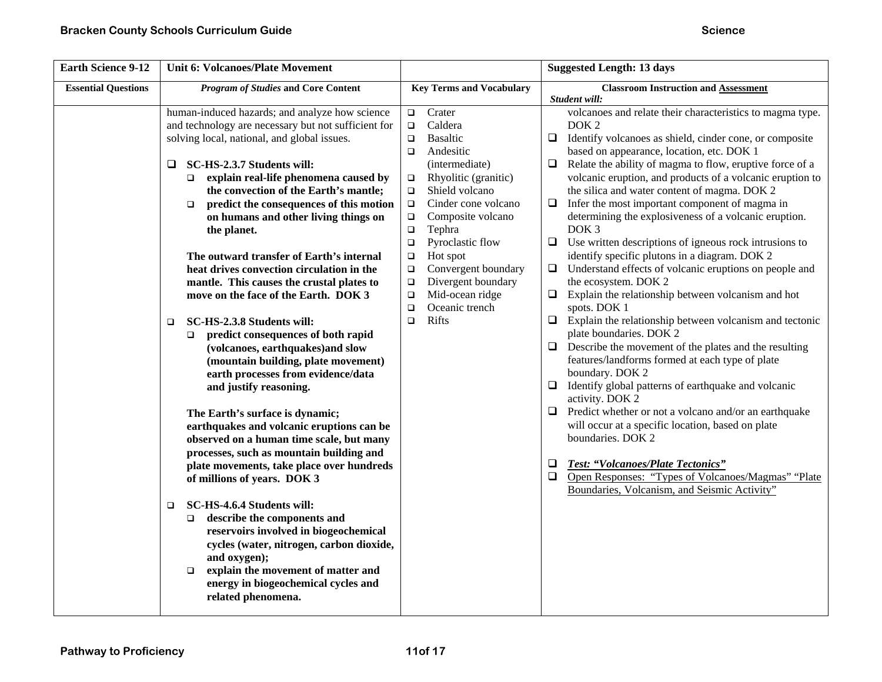| <b>Earth Science 9-12</b>  | <b>Unit 6: Volcanoes/Plate Movement</b>                                                                                                                                                                                                                                                                                                                                                                                                                                                                                                                                                                                                                                                                                                   |                                                                                                                                                                                                                                                                                                                                                                                                                                                                | <b>Suggested Length: 13 days</b>                                                                                                                                                                                                                                                                                                                                                                                                                                                                                                                                                                                                                                                                                                                                                                                                                                                                         |
|----------------------------|-------------------------------------------------------------------------------------------------------------------------------------------------------------------------------------------------------------------------------------------------------------------------------------------------------------------------------------------------------------------------------------------------------------------------------------------------------------------------------------------------------------------------------------------------------------------------------------------------------------------------------------------------------------------------------------------------------------------------------------------|----------------------------------------------------------------------------------------------------------------------------------------------------------------------------------------------------------------------------------------------------------------------------------------------------------------------------------------------------------------------------------------------------------------------------------------------------------------|----------------------------------------------------------------------------------------------------------------------------------------------------------------------------------------------------------------------------------------------------------------------------------------------------------------------------------------------------------------------------------------------------------------------------------------------------------------------------------------------------------------------------------------------------------------------------------------------------------------------------------------------------------------------------------------------------------------------------------------------------------------------------------------------------------------------------------------------------------------------------------------------------------|
| <b>Essential Questions</b> | <b>Program of Studies and Core Content</b>                                                                                                                                                                                                                                                                                                                                                                                                                                                                                                                                                                                                                                                                                                | <b>Key Terms and Vocabulary</b>                                                                                                                                                                                                                                                                                                                                                                                                                                | <b>Classroom Instruction and Assessment</b>                                                                                                                                                                                                                                                                                                                                                                                                                                                                                                                                                                                                                                                                                                                                                                                                                                                              |
|                            | human-induced hazards; and analyze how science<br>and technology are necessary but not sufficient for<br>solving local, national, and global issues.<br>SC-HS-2.3.7 Students will:<br>$\Box$<br>explain real-life phenomena caused by<br>$\Box$<br>the convection of the Earth's mantle;<br>predict the consequences of this motion<br>$\Box$<br>on humans and other living things on<br>the planet.<br>The outward transfer of Earth's internal<br>heat drives convection circulation in the<br>mantle. This causes the crustal plates to<br>move on the face of the Earth. DOK 3<br>SC-HS-2.3.8 Students will:<br>□                                                                                                                     | Crater<br>$\Box$<br>Caldera<br>$\Box$<br><b>Basaltic</b><br>$\Box$<br>Andesitic<br>$\Box$<br>(intermediate)<br>Rhyolitic (granitic)<br>$\Box$<br>Shield volcano<br>$\Box$<br>Cinder cone volcano<br>$\Box$<br>$\Box$<br>Composite volcano<br>Tephra<br>$\Box$<br>Pyroclastic flow<br>$\Box$<br>Hot spot<br>$\Box$<br>Convergent boundary<br>$\Box$<br>Divergent boundary<br>$\Box$<br>Mid-ocean ridge<br>$\Box$<br>Oceanic trench<br>$\Box$<br>Rifts<br>$\Box$ | Student will:<br>volcanoes and relate their characteristics to magma type.<br>DOK <sub>2</sub><br>$\Box$<br>Identify volcanoes as shield, cinder cone, or composite<br>based on appearance, location, etc. DOK 1<br>Relate the ability of magma to flow, eruptive force of a<br>$\Box$<br>volcanic eruption, and products of a volcanic eruption to<br>the silica and water content of magma. DOK 2<br>Infer the most important component of magma in<br>❏<br>determining the explosiveness of a volcanic eruption.<br>DOK <sub>3</sub><br>$\Box$<br>Use written descriptions of igneous rock intrusions to<br>identify specific plutons in a diagram. DOK 2<br>Understand effects of volcanic eruptions on people and<br>$\Box$<br>the ecosystem. DOK 2<br>Explain the relationship between volcanism and hot<br>$\Box$<br>spots. DOK 1<br>Explain the relationship between volcanism and tectonic<br>□ |
|                            | predict consequences of both rapid<br>$\Box$<br>(volcanoes, earthquakes)and slow<br>(mountain building, plate movement)<br>earth processes from evidence/data<br>and justify reasoning.<br>The Earth's surface is dynamic;<br>earthquakes and volcanic eruptions can be<br>observed on a human time scale, but many<br>processes, such as mountain building and<br>plate movements, take place over hundreds<br>of millions of years. DOK 3<br>SC-HS-4.6.4 Students will:<br>$\Box$<br>describe the components and<br>□<br>reservoirs involved in biogeochemical<br>cycles (water, nitrogen, carbon dioxide,<br>and oxygen);<br>explain the movement of matter and<br>$\Box$<br>energy in biogeochemical cycles and<br>related phenomena. |                                                                                                                                                                                                                                                                                                                                                                                                                                                                | plate boundaries. DOK 2<br>Describe the movement of the plates and the resulting<br>$\Box$<br>features/landforms formed at each type of plate<br>boundary. DOK 2<br>Identify global patterns of earthquake and volcanic<br>$\Box$<br>activity. DOK 2<br>Predict whether or not a volcano and/or an earthquake<br>❏<br>will occur at a specific location, based on plate<br>boundaries. DOK 2<br><b>Test: "Volcanoes/Plate Tectonics"</b><br>□<br>$\Box$<br>Open Responses: "Types of Volcanoes/Magmas" "Plate<br>Boundaries, Volcanism, and Seismic Activity"                                                                                                                                                                                                                                                                                                                                            |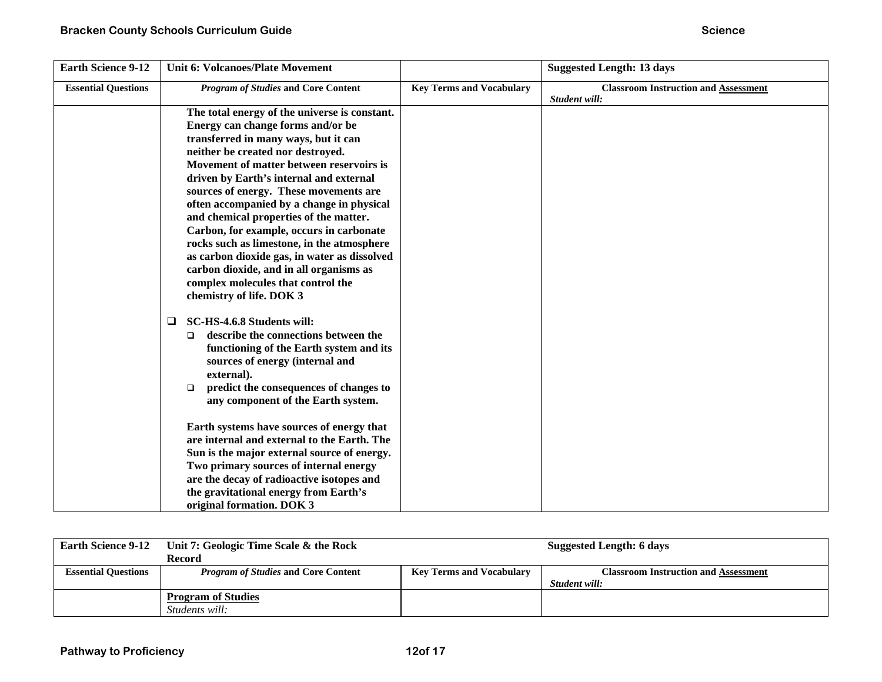| <b>Earth Science 9-12</b>  | <b>Unit 6: Volcanoes/Plate Movement</b>                                                                                                                                                                                                                                                                                                                                                                                                                                                                                                                                                                                                        |                                 | <b>Suggested Length: 13 days</b>                             |
|----------------------------|------------------------------------------------------------------------------------------------------------------------------------------------------------------------------------------------------------------------------------------------------------------------------------------------------------------------------------------------------------------------------------------------------------------------------------------------------------------------------------------------------------------------------------------------------------------------------------------------------------------------------------------------|---------------------------------|--------------------------------------------------------------|
| <b>Essential Questions</b> | <b>Program of Studies and Core Content</b>                                                                                                                                                                                                                                                                                                                                                                                                                                                                                                                                                                                                     | <b>Key Terms and Vocabulary</b> | <b>Classroom Instruction and Assessment</b><br>Student will: |
|                            | The total energy of the universe is constant.<br>Energy can change forms and/or be<br>transferred in many ways, but it can<br>neither be created nor destroyed.<br>Movement of matter between reservoirs is<br>driven by Earth's internal and external<br>sources of energy. These movements are<br>often accompanied by a change in physical<br>and chemical properties of the matter.<br>Carbon, for example, occurs in carbonate<br>rocks such as limestone, in the atmosphere<br>as carbon dioxide gas, in water as dissolved<br>carbon dioxide, and in all organisms as<br>complex molecules that control the<br>chemistry of life. DOK 3 |                                 |                                                              |
|                            | SC-HS-4.6.8 Students will:<br>□<br>describe the connections between the<br>$\Box$<br>functioning of the Earth system and its<br>sources of energy (internal and<br>external).<br>predict the consequences of changes to<br>$\Box$<br>any component of the Earth system.<br>Earth systems have sources of energy that<br>are internal and external to the Earth. The<br>Sun is the major external source of energy.<br>Two primary sources of internal energy<br>are the decay of radioactive isotopes and<br>the gravitational energy from Earth's<br>original formation. DOK 3                                                                |                                 |                                                              |

| <b>Earth Science 9-12</b>  | Unit 7: Geologic Time Scale & the Rock     |                                 | Suggested Length: 6 days                    |
|----------------------------|--------------------------------------------|---------------------------------|---------------------------------------------|
|                            | Record                                     |                                 |                                             |
| <b>Essential Ouestions</b> | <b>Program of Studies and Core Content</b> | <b>Key Terms and Vocabulary</b> | <b>Classroom Instruction and Assessment</b> |
|                            |                                            |                                 | Student will:                               |
|                            | <b>Program of Studies</b>                  |                                 |                                             |
|                            | Students will:                             |                                 |                                             |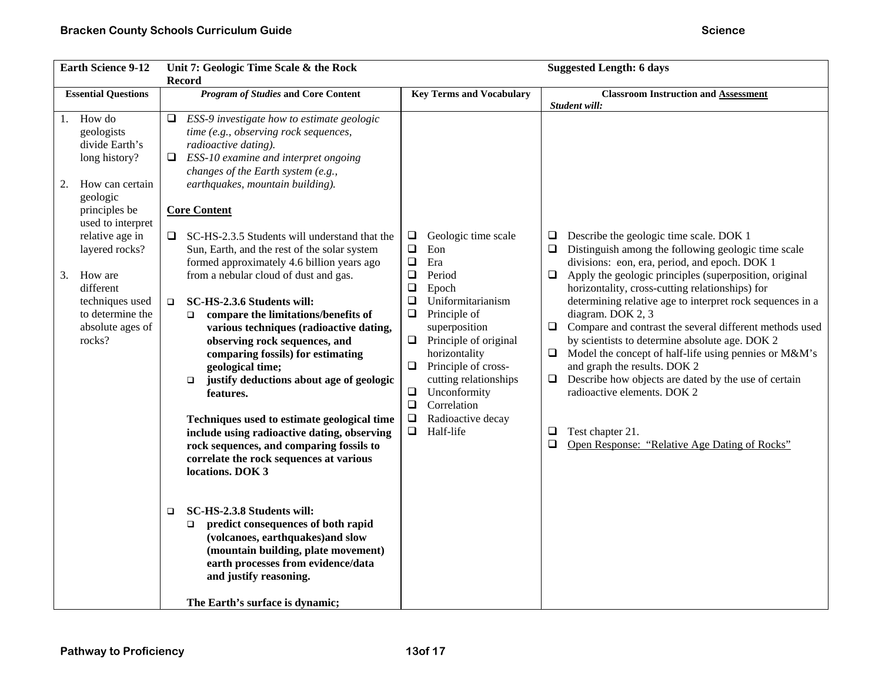| <b>Earth Science 9-12</b><br>Unit 7: Geologic Time Scale & the Rock<br><b>Record</b>                                                                                                                                                                                             |                                                                                                                                                                                                                                                                                                                                                                                                                                                                                                                                                                                                                                                                                                                                                                                                                                                                                                                                                                                                                                                                                                                                                                                                      | <b>Suggested Length: 6 days</b>                                                                                                                                                                                                                                                                                                                                                                         |                                                                                                                                                                                                                                                                                                                                                                                                                                                                                                                                                                                                                                                                                                                                                                                          |
|----------------------------------------------------------------------------------------------------------------------------------------------------------------------------------------------------------------------------------------------------------------------------------|------------------------------------------------------------------------------------------------------------------------------------------------------------------------------------------------------------------------------------------------------------------------------------------------------------------------------------------------------------------------------------------------------------------------------------------------------------------------------------------------------------------------------------------------------------------------------------------------------------------------------------------------------------------------------------------------------------------------------------------------------------------------------------------------------------------------------------------------------------------------------------------------------------------------------------------------------------------------------------------------------------------------------------------------------------------------------------------------------------------------------------------------------------------------------------------------------|---------------------------------------------------------------------------------------------------------------------------------------------------------------------------------------------------------------------------------------------------------------------------------------------------------------------------------------------------------------------------------------------------------|------------------------------------------------------------------------------------------------------------------------------------------------------------------------------------------------------------------------------------------------------------------------------------------------------------------------------------------------------------------------------------------------------------------------------------------------------------------------------------------------------------------------------------------------------------------------------------------------------------------------------------------------------------------------------------------------------------------------------------------------------------------------------------------|
| <b>Essential Questions</b>                                                                                                                                                                                                                                                       | <b>Program of Studies and Core Content</b>                                                                                                                                                                                                                                                                                                                                                                                                                                                                                                                                                                                                                                                                                                                                                                                                                                                                                                                                                                                                                                                                                                                                                           | <b>Key Terms and Vocabulary</b>                                                                                                                                                                                                                                                                                                                                                                         | <b>Classroom Instruction and Assessment</b><br>Student will:                                                                                                                                                                                                                                                                                                                                                                                                                                                                                                                                                                                                                                                                                                                             |
| How do<br>1.<br>geologists<br>divide Earth's<br>long history?<br>How can certain<br>2.<br>geologic<br>principles be<br>used to interpret<br>relative age in<br>layered rocks?<br>How are<br>3.<br>different<br>techniques used<br>to determine the<br>absolute ages of<br>rocks? | ESS-9 investigate how to estimate geologic<br>⊔<br>time (e.g., observing rock sequences,<br>radioactive dating).<br>ESS-10 examine and interpret ongoing<br>Q.<br>changes of the Earth system (e.g.,<br>earthquakes, mountain building).<br><b>Core Content</b><br>SC-HS-2.3.5 Students will understand that the<br>Sun, Earth, and the rest of the solar system<br>formed approximately 4.6 billion years ago<br>from a nebular cloud of dust and gas.<br>SC-HS-2.3.6 Students will:<br>$\Box$<br>compare the limitations/benefits of<br>$\Box$<br>various techniques (radioactive dating,<br>observing rock sequences, and<br>comparing fossils) for estimating<br>geological time;<br>justify deductions about age of geologic<br>$\Box$<br>features.<br>Techniques used to estimate geological time<br>include using radioactive dating, observing<br>rock sequences, and comparing fossils to<br>correlate the rock sequences at various<br>locations. DOK 3<br>SC-HS-2.3.8 Students will:<br>$\Box$<br>predict consequences of both rapid<br>$\Box$<br>(volcanoes, earthquakes)and slow<br>(mountain building, plate movement)<br>earth processes from evidence/data<br>and justify reasoning. | $\Box$<br>Geologic time scale<br>$\Box$<br>Eon<br>$\Box$<br>Era<br>$\Box$<br>Period<br>$\Box$<br>Epoch<br>$\Box$<br>Uniformitarianism<br>$\Box$<br>Principle of<br>superposition<br>Principle of original<br>$\Box$<br>horizontality<br>$\Box$<br>Principle of cross-<br>cutting relationships<br>$\Box$<br>Unconformity<br>$\Box$<br>Correlation<br>Radioactive decay<br>$\Box$<br>$\Box$<br>Half-life | Describe the geologic time scale. DOK 1<br>⊔<br>Distinguish among the following geologic time scale<br>$\Box$<br>divisions: eon, era, period, and epoch. DOK 1<br>$\Box$<br>Apply the geologic principles (superposition, original<br>horizontality, cross-cutting relationships) for<br>determining relative age to interpret rock sequences in a<br>diagram. DOK 2, 3<br>$\Box$ Compare and contrast the several different methods used<br>by scientists to determine absolute age. DOK 2<br>Model the concept of half-life using pennies or M&M's<br>$\Box$<br>and graph the results. DOK 2<br>Describe how objects are dated by the use of certain<br>$\Box$<br>radioactive elements. DOK 2<br>$\Box$<br>Test chapter 21.<br>$\Box$<br>Open Response: "Relative Age Dating of Rocks" |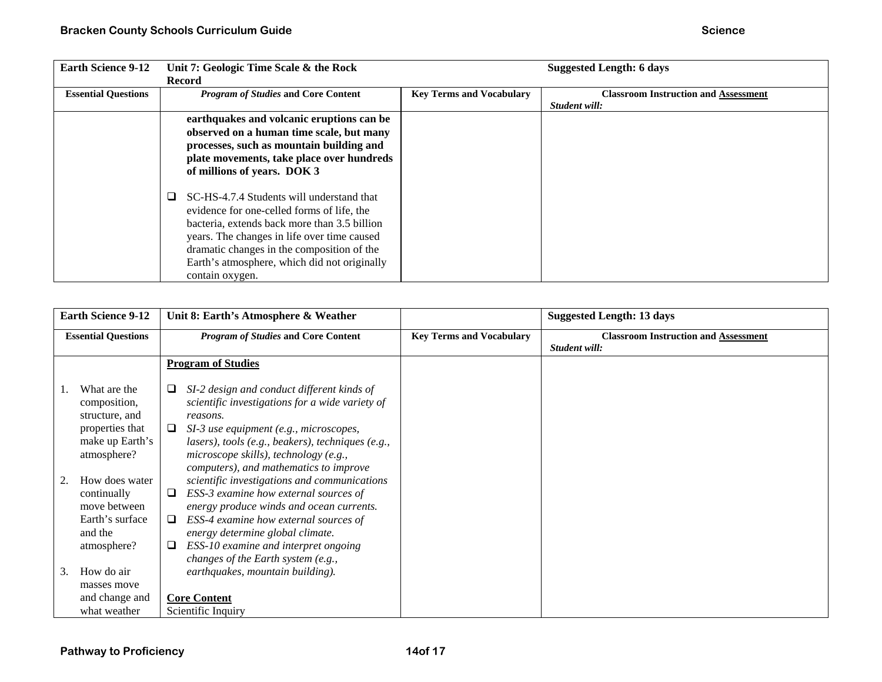| <b>Earth Science 9-12</b>  | Unit 7: Geologic Time Scale & the Rock         |                                 | <b>Suggested Length: 6 days</b>             |
|----------------------------|------------------------------------------------|---------------------------------|---------------------------------------------|
|                            | <b>Record</b>                                  |                                 |                                             |
| <b>Essential Questions</b> | <b>Program of Studies and Core Content</b>     | <b>Key Terms and Vocabulary</b> | <b>Classroom Instruction and Assessment</b> |
|                            |                                                |                                 | Student will:                               |
|                            | earthquakes and volcanic eruptions can be      |                                 |                                             |
|                            | observed on a human time scale, but many       |                                 |                                             |
|                            | processes, such as mountain building and       |                                 |                                             |
|                            | plate movements, take place over hundreds      |                                 |                                             |
|                            | of millions of years. DOK 3                    |                                 |                                             |
|                            |                                                |                                 |                                             |
|                            | SC-HS-4.7.4 Students will understand that<br>❏ |                                 |                                             |
|                            | evidence for one-celled forms of life, the     |                                 |                                             |
|                            | bacteria, extends back more than 3.5 billion   |                                 |                                             |
|                            |                                                |                                 |                                             |
|                            | years. The changes in life over time caused    |                                 |                                             |
|                            | dramatic changes in the composition of the     |                                 |                                             |
|                            | Earth's atmosphere, which did not originally   |                                 |                                             |
|                            | contain oxygen.                                |                                 |                                             |

| <b>Earth Science 9-12</b><br>Unit 8: Earth's Atmosphere & Weather |                                                   |                                                                                                                                                                                     | <b>Suggested Length: 13 days</b> |                                                              |
|-------------------------------------------------------------------|---------------------------------------------------|-------------------------------------------------------------------------------------------------------------------------------------------------------------------------------------|----------------------------------|--------------------------------------------------------------|
|                                                                   | <b>Essential Questions</b>                        | <b>Program of Studies and Core Content</b>                                                                                                                                          | <b>Key Terms and Vocabulary</b>  | <b>Classroom Instruction and Assessment</b><br>Student will: |
|                                                                   |                                                   | <b>Program of Studies</b>                                                                                                                                                           |                                  |                                                              |
|                                                                   | What are the<br>composition,<br>structure, and    | SI-2 design and conduct different kinds of<br>⊔<br>scientific investigations for a wide variety of<br>reasons.                                                                      |                                  |                                                              |
|                                                                   | properties that<br>make up Earth's<br>atmosphere? | SI-3 use equipment (e.g., microscopes,<br>⊔<br>lasers), tools (e.g., beakers), techniques (e.g.,<br>microscope skills), technology (e.g.,<br>computers), and mathematics to improve |                                  |                                                              |
|                                                                   | How does water<br>continually<br>move between     | scientific investigations and communications<br>ESS-3 examine how external sources of<br>❏<br>energy produce winds and ocean currents.                                              |                                  |                                                              |
|                                                                   | Earth's surface<br>and the                        | ESS-4 examine how external sources of<br>⊔<br>energy determine global climate.                                                                                                      |                                  |                                                              |
|                                                                   | atmosphere?                                       | ESS-10 examine and interpret ongoing<br>⊔<br>changes of the Earth system (e.g.,                                                                                                     |                                  |                                                              |
| 3.                                                                | How do air                                        | earthquakes, mountain building).                                                                                                                                                    |                                  |                                                              |
|                                                                   | masses move                                       |                                                                                                                                                                                     |                                  |                                                              |
|                                                                   | and change and                                    | <b>Core Content</b>                                                                                                                                                                 |                                  |                                                              |
|                                                                   | what weather                                      | Scientific Inquiry                                                                                                                                                                  |                                  |                                                              |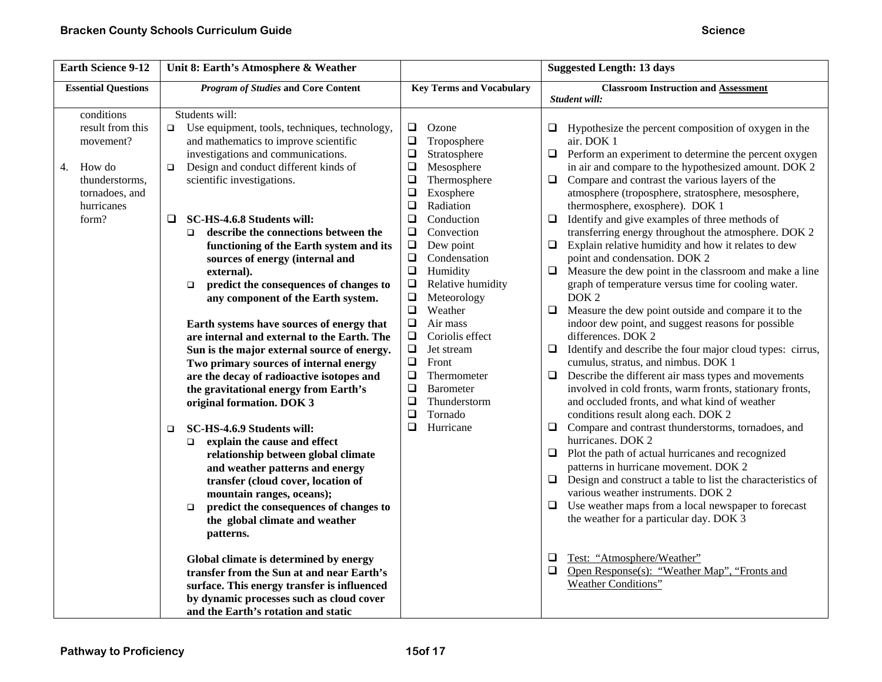| <b>Earth Science 9-12</b>                                                                                              | Unit 8: Earth's Atmosphere & Weather                                                                                                                                                                                                                                                                                                                                                                                                                                                                                                                                                                                                                                                                                                                                                                                                                                                                                                                                                                                                                                                                                                                                                                                                                                                                      |                                                                                                                                                                                                                                                                                                                                                                                                                                                                                                                                                                                                   | <b>Suggested Length: 13 days</b>                                                                                                                                                                                                                                                                                                                                                                                                                                                                                                                                                                                                                                                                                                                                                                                                                                                                                                                                                                                                                                                                                                                                                                                                                                                                                                                                                                                                                                                                                                                                                                                                                                                                                                                                 |  |
|------------------------------------------------------------------------------------------------------------------------|-----------------------------------------------------------------------------------------------------------------------------------------------------------------------------------------------------------------------------------------------------------------------------------------------------------------------------------------------------------------------------------------------------------------------------------------------------------------------------------------------------------------------------------------------------------------------------------------------------------------------------------------------------------------------------------------------------------------------------------------------------------------------------------------------------------------------------------------------------------------------------------------------------------------------------------------------------------------------------------------------------------------------------------------------------------------------------------------------------------------------------------------------------------------------------------------------------------------------------------------------------------------------------------------------------------|---------------------------------------------------------------------------------------------------------------------------------------------------------------------------------------------------------------------------------------------------------------------------------------------------------------------------------------------------------------------------------------------------------------------------------------------------------------------------------------------------------------------------------------------------------------------------------------------------|------------------------------------------------------------------------------------------------------------------------------------------------------------------------------------------------------------------------------------------------------------------------------------------------------------------------------------------------------------------------------------------------------------------------------------------------------------------------------------------------------------------------------------------------------------------------------------------------------------------------------------------------------------------------------------------------------------------------------------------------------------------------------------------------------------------------------------------------------------------------------------------------------------------------------------------------------------------------------------------------------------------------------------------------------------------------------------------------------------------------------------------------------------------------------------------------------------------------------------------------------------------------------------------------------------------------------------------------------------------------------------------------------------------------------------------------------------------------------------------------------------------------------------------------------------------------------------------------------------------------------------------------------------------------------------------------------------------------------------------------------------------|--|
| <b>Essential Questions</b>                                                                                             | <b>Program of Studies and Core Content</b>                                                                                                                                                                                                                                                                                                                                                                                                                                                                                                                                                                                                                                                                                                                                                                                                                                                                                                                                                                                                                                                                                                                                                                                                                                                                | <b>Key Terms and Vocabulary</b>                                                                                                                                                                                                                                                                                                                                                                                                                                                                                                                                                                   | <b>Classroom Instruction and Assessment</b>                                                                                                                                                                                                                                                                                                                                                                                                                                                                                                                                                                                                                                                                                                                                                                                                                                                                                                                                                                                                                                                                                                                                                                                                                                                                                                                                                                                                                                                                                                                                                                                                                                                                                                                      |  |
| conditions<br>result from this<br>movement?<br>How do<br>4.<br>thunderstorms,<br>tornadoes, and<br>hurricanes<br>form? | Students will:<br>$\Box$<br>Use equipment, tools, techniques, technology,<br>and mathematics to improve scientific<br>investigations and communications.<br>Design and conduct different kinds of<br>$\Box$<br>scientific investigations.<br>SC-HS-4.6.8 Students will:<br>$\Box$<br>describe the connections between the<br>$\Box$<br>functioning of the Earth system and its<br>sources of energy (internal and<br>external).<br>predict the consequences of changes to<br>$\Box$<br>any component of the Earth system.<br>Earth systems have sources of energy that<br>are internal and external to the Earth. The<br>Sun is the major external source of energy.<br>Two primary sources of internal energy<br>are the decay of radioactive isotopes and<br>the gravitational energy from Earth's<br>original formation. DOK 3<br>SC-HS-4.6.9 Students will:<br>$\Box$<br>explain the cause and effect<br>$\Box$<br>relationship between global climate<br>and weather patterns and energy<br>transfer (cloud cover, location of<br>mountain ranges, oceans);<br>predict the consequences of changes to<br>$\Box$<br>the global climate and weather<br>patterns.<br>Global climate is determined by energy<br>transfer from the Sun at and near Earth's<br>surface. This energy transfer is influenced | $\Box$<br>Ozone<br>$\Box$<br>Troposphere<br>$\Box$<br>Stratosphere<br>$\Box$<br>Mesosphere<br>$\Box$<br>Thermosphere<br>$\Box$<br>Exosphere<br>$\Box$<br>Radiation<br>$\Box$<br>Conduction<br>$\Box$<br>Convection<br>$\Box$<br>Dew point<br>$\Box$<br>Condensation<br>$\Box$<br>Humidity<br>$\Box$<br>Relative humidity<br>$\Box$<br>Meteorology<br>$\Box$<br>Weather<br>$\Box$<br>Air mass<br>$\Box$<br>Coriolis effect<br>$\Box$<br>Jet stream<br>$\Box$<br>Front<br>$\Box$<br>Thermometer<br>$\Box$<br><b>Barometer</b><br>$\Box$<br>Thunderstorm<br>$\Box$<br>Tornado<br>$\Box$<br>Hurricane | Student will:<br>Hypothesize the percent composition of oxygen in the<br>⊔<br>air. DOK 1<br>$\Box$ Perform an experiment to determine the percent oxygen<br>in air and compare to the hypothesized amount. DOK 2<br>Compare and contrast the various layers of the<br>$\Box$<br>atmosphere (troposphere, stratosphere, mesosphere,<br>thermosphere, exosphere). DOK 1<br>$\Box$<br>Identify and give examples of three methods of<br>transferring energy throughout the atmosphere. DOK 2<br>Explain relative humidity and how it relates to dew<br>❏<br>point and condensation. DOK 2<br>Measure the dew point in the classroom and make a line<br>$\Box$<br>graph of temperature versus time for cooling water.<br>DOK <sub>2</sub><br>Measure the dew point outside and compare it to the<br>$\Box$<br>indoor dew point, and suggest reasons for possible<br>differences. DOK 2<br>$\Box$<br>Identify and describe the four major cloud types: cirrus,<br>cumulus, stratus, and nimbus. DOK 1<br>Describe the different air mass types and movements<br>$\Box$<br>involved in cold fronts, warm fronts, stationary fronts,<br>and occluded fronts, and what kind of weather<br>conditions result along each. DOK 2<br>Compare and contrast thunderstorms, tornadoes, and<br>$\Box$<br>hurricanes. DOK 2<br>$\Box$ Plot the path of actual hurricanes and recognized<br>patterns in hurricane movement. DOK 2<br>$\Box$ Design and construct a table to list the characteristics of<br>various weather instruments. DOK 2<br>Use weather maps from a local newspaper to forecast<br>$\Box$<br>the weather for a particular day. DOK 3<br>Test: "Atmosphere/Weather"<br>$\Box$<br>Open Response(s): "Weather Map", "Fronts and<br>$\Box$<br>Weather Conditions" |  |
|                                                                                                                        | by dynamic processes such as cloud cover<br>and the Earth's rotation and static                                                                                                                                                                                                                                                                                                                                                                                                                                                                                                                                                                                                                                                                                                                                                                                                                                                                                                                                                                                                                                                                                                                                                                                                                           |                                                                                                                                                                                                                                                                                                                                                                                                                                                                                                                                                                                                   |                                                                                                                                                                                                                                                                                                                                                                                                                                                                                                                                                                                                                                                                                                                                                                                                                                                                                                                                                                                                                                                                                                                                                                                                                                                                                                                                                                                                                                                                                                                                                                                                                                                                                                                                                                  |  |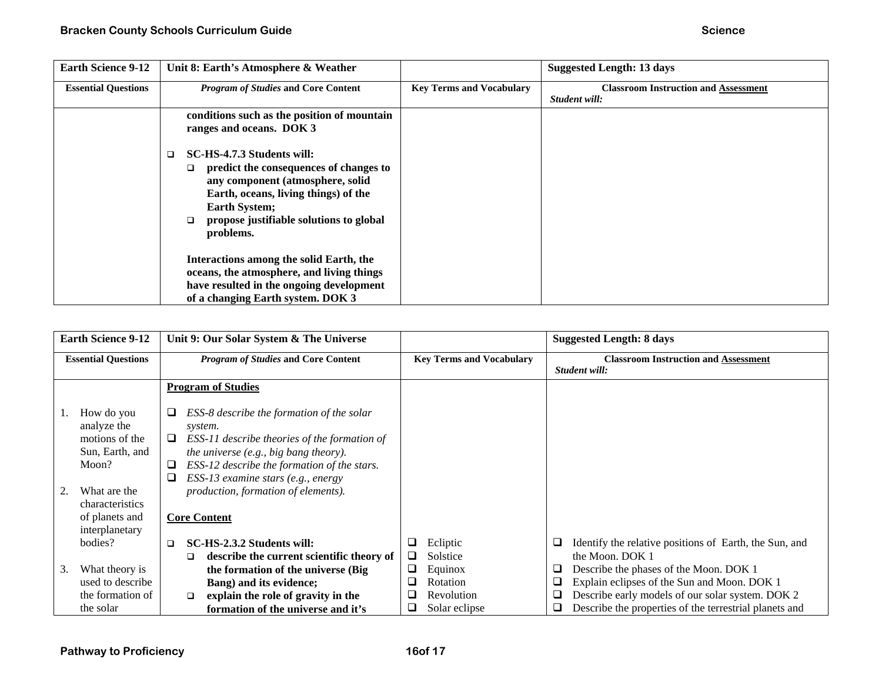| <b>Earth Science 9-12</b>  | Unit 8: Earth's Atmosphere & Weather                                                                                                                                                                                                                      |                                 | <b>Suggested Length: 13 days</b>                             |
|----------------------------|-----------------------------------------------------------------------------------------------------------------------------------------------------------------------------------------------------------------------------------------------------------|---------------------------------|--------------------------------------------------------------|
| <b>Essential Questions</b> | <b>Program of Studies and Core Content</b>                                                                                                                                                                                                                | <b>Key Terms and Vocabulary</b> | <b>Classroom Instruction and Assessment</b><br>Student will: |
|                            | conditions such as the position of mountain<br>ranges and oceans. DOK 3                                                                                                                                                                                   |                                 |                                                              |
|                            | SC-HS-4.7.3 Students will:<br>□<br>predict the consequences of changes to<br>$\Box$<br>any component (atmosphere, solid<br>Earth, oceans, living things) of the<br><b>Earth System;</b><br>propose justifiable solutions to global<br>$\Box$<br>problems. |                                 |                                                              |
|                            | Interactions among the solid Earth, the<br>oceans, the atmosphere, and living things<br>have resulted in the ongoing development                                                                                                                          |                                 |                                                              |
|                            | of a changing Earth system. DOK 3                                                                                                                                                                                                                         |                                 |                                                              |

|    | <b>Earth Science 9-12</b>                                                               | Unit 9: Our Solar System & The Universe                                                                                                                                                                                                                |        |                                 |        | <b>Suggested Length: 8 days</b>                                                                            |
|----|-----------------------------------------------------------------------------------------|--------------------------------------------------------------------------------------------------------------------------------------------------------------------------------------------------------------------------------------------------------|--------|---------------------------------|--------|------------------------------------------------------------------------------------------------------------|
|    | <b>Essential Questions</b>                                                              | <b>Program of Studies and Core Content</b>                                                                                                                                                                                                             |        | <b>Key Terms and Vocabulary</b> |        | <b>Classroom Instruction and Assessment</b><br>Student will:                                               |
|    |                                                                                         | <b>Program of Studies</b>                                                                                                                                                                                                                              |        |                                 |        |                                                                                                            |
|    | How do you<br>analyze the<br>motions of the<br>Sun, Earth, and<br>Moon?<br>What are the | ESS-8 describe the formation of the solar<br>⊔<br>system.<br>ESS-11 describe theories of the formation of<br>⊔<br>the universe (e.g., big bang theory).<br>ESS-12 describe the formation of the stars.<br>⊔<br>❏<br>ESS-13 examine stars (e.g., energy |        |                                 |        |                                                                                                            |
|    | characteristics                                                                         | production, formation of elements).                                                                                                                                                                                                                    |        |                                 |        |                                                                                                            |
|    | of planets and<br>interplanetary                                                        | <b>Core Content</b>                                                                                                                                                                                                                                    |        |                                 |        |                                                                                                            |
|    | bodies?                                                                                 | SC-HS-2.3.2 Students will:<br>□<br>describe the current scientific theory of<br>❏                                                                                                                                                                      | ⊔<br>⊔ | Ecliptic<br>Solstice            | ⊔      | Identify the relative positions of Earth, the Sun, and<br>the Moon, DOK 1                                  |
| 3. | What theory is                                                                          | the formation of the universe (Big)                                                                                                                                                                                                                    | ⊔      | Equinox                         | ❏      | Describe the phases of the Moon. DOK 1                                                                     |
|    | used to describe<br>the formation of                                                    | Bang) and its evidence;                                                                                                                                                                                                                                | ப      | Rotation<br>Revolution          | ❏      | Explain eclipses of the Sun and Moon. DOK 1                                                                |
|    | the solar                                                                               | explain the role of gravity in the<br>□<br>formation of the universe and it's                                                                                                                                                                          | ⊔      | Solar eclipse                   | ❏<br>❏ | Describe early models of our solar system. DOK 2<br>Describe the properties of the terrestrial planets and |